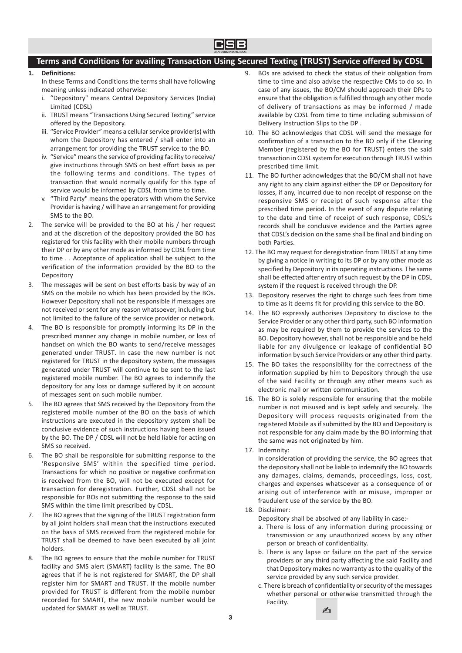

# Terms and Conditions for availing Transaction Using Secured Texting (TRUST) Service offered by CDSL

## 1. Definitions:

In these Terms and Conditions the terms shall have following meaning unless indicated otherwise:

- i. "Depository" means Central Depository Services (India) Limited (CDSL)
- ii. TRUST means "Transactions Using Secured Texting" service offered by the Depository.
- iii. "Service Provider" means a cellular service provider(s) with whom the Depository has entered / shall enter into an arrangement for providing the TRUST service to the BO.
- iv. "Service" means the service of providing facility to receive/ give instructions through SMS on best effort basis as per the following terms and conditions. The types of transaction that would normally qualify for this type of service would be informed by CDSL from time to time.
- v. "Third Party" means the operators with whom the Service Provider is having / will have an arrangement for providing SMS to the BO.
- 2. The service will be provided to the BO at his / her request and at the discretion of the depository provided the BO has registered for this facility with their mobile numbers through their DP or by any other mode as informed by CDSL from time to time . . Acceptance of application shall be subject to the verification of the information provided by the BO to the Depository
- 3. The messages will be sent on best efforts basis by way of an SMS on the mobile no which has been provided by the BOs. However Depository shall not be responsible if messages are not received or sent for any reason whatsoever, including but not limited to the failure of the service provider or network.
- 4. The BO is responsible for promptly informing its DP in the prescribed manner any change in mobile number, or loss of handset on which the BO wants to send/receive messages generated under TRUST. In case the new number is not registered for TRUST in the depository system, the messages generated under TRUST will continue to be sent to the last registered mobile number. The BO agrees to indemnify the depository for any loss or damage suffered by it on account of messages sent on such mobile number.
- 5. The BO agrees that SMS received by the Depository from the registered mobile number of the BO on the basis of which instructions are executed in the depository system shall be conclusive evidence of such instructions having been issued by the BO. The DP / CDSL will not be held liable for acting on SMS so received.
- 6. The BO shall be responsible for submitting response to the 'Responsive SMS' within the specified time period. Transactions for which no positive or negative confirmation is received from the BO, will not be executed except for transaction for deregistration. Further, CDSL shall not be responsible for BOs not submitting the response to the said SMS within the time limit prescribed by CDSL.
- 7. The BO agrees that the signing of the TRUST registration form by all joint holders shall mean that the instructions executed on the basis of SMS received from the registered mobile for TRUST shall be deemed to have been executed by all joint holders.
- 8. The BO agrees to ensure that the mobile number for TRUST facility and SMS alert (SMART) facility is the same. The BO agrees that if he is not registered for SMART, the DP shall register him for SMART and TRUST. If the mobile number provided for TRUST is different from the mobile number recorded for SMART, the new mobile number would be updated for SMART as well as TRUST.
- 9. BOs are advised to check the status of their obligation from time to time and also advise the respective CMs to do so. In case of any issues, the BO/CM should approach their DPs to ensure that the obligation is fulfilled through any other mode of delivery of transactions as may be informed / made available by CDSL from time to time including submission of Delivery Instruction Slips to the DP .
- 10. The BO acknowledges that CDSL will send the message for confirmation of a transaction to the BO only if the Clearing Member (registered by the BO for TRUST) enters the said transaction in CDSL system for execution through TRUST within prescribed time limit.
- 11. The BO further acknowledges that the BO/CM shall not have any right to any claim against either the DP or Depository for losses, if any, incurred due to non receipt of response on the responsive SMS or receipt of such response after the prescribed time period. In the event of any dispute relating to the date and time of receipt of such response, CDSL's records shall be conclusive evidence and the Parties agree that CDSL's decision on the same shall be final and binding on both Parties.
- 12. The BO may request for deregistration from TRUST at any time by giving a notice in writing to its DP or by any other mode as specified by Depository in its operating instructions. The same shall be effected after entry of such request by the DP in CDSL system if the request is received through the DP.
- 13. Depository reserves the right to charge such fees from time to time as it deems fit for providing this service to the BO.
- 14. The BO expressly authorises Depository to disclose to the Service Provider or any other third party, such BO information as may be required by them to provide the services to the BO. Depository however, shall not be responsible and be held liable for any divulgence or leakage of confidential BO information by such Service Providers or any other third party.
- 15. The BO takes the responsibility for the correctness of the information supplied by him to Depository through the use of the said Facility or through any other means such as electronic mail or written communication.
- 16. The BO is solely responsible for ensuring that the mobile number is not misused and is kept safely and securely. The Depository will process requests originated from the registered Mobile as if submitted by the BO and Depository is not responsible for any claim made by the BO informing that the same was not originated by him.
- 17. Indemnity:

In consideration of providing the service, the BO agrees that the depository shall not be liable to indemnify the BO towards any damages, claims, demands, proceedings, loss, cost, charges and expenses whatsoever as a consequence of or arising out of interference with or misuse, improper or fraudulent use of the service by the BO.

18. Disclaimer:

Depository shall be absolved of any liability in case:-

- a. There is loss of any information during processing or transmission or any unauthorized access by any other person or breach of confidentiality.
- b. There is any lapse or failure on the part of the service providers or any third party affecting the said Facility and that Depository makes no warranty as to the quality of the service provided by any such service provider.
- c. There is breach of confidentiality or security of the messages whether personal or otherwise transmitted through the Facility.

✍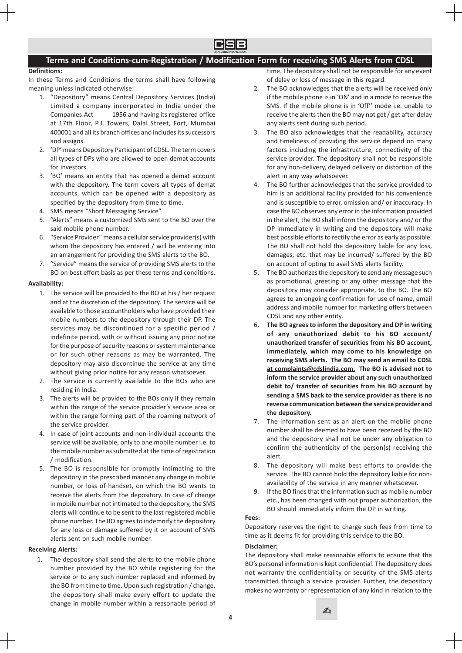

# Terms and Conditions-cum-Registration / Modification Form for receiving SMS Alerts from CDSL

## Definitions:

In these Terms and Conditions the terms shall have following meaning unless indicated otherwise:

- 1. "Depository" means Central Depository Services (India) Limited a company incorporated in India under the Companies Act 1956 and having its registered office at 17th Floor, P.J. Towers, Dalal Street, Fort, Mumbai 400001 and all its branch offices and includes its successors and assigns.
- 2. 'DP' means Depository Participant of CDSL. The term covers all types of DPs who are allowed to open demat accounts for investors.
- 3. 'BO' means an entity that has opened a demat account with the depository. The term covers all types of demat accounts, which can be opened with a depository as specified by the depository from time to time.
- 4. SMS means "Short Messaging Service"
- 5. "Alerts" means a customized SMS sent to the BO over the said mobile phone number.
- 6. "Service Provider" means a cellular service provider(s) with whom the depository has entered / will be entering into an arrangement for providing the SMS alerts to the BO.
- 7. "Service" means the service of providing SMS alerts to the BO on best effort basis as per these terms and conditions.

## Availability:

- 1. The service will be provided to the BO at his / her request and at the discretion of the depository. The service will be available to those accountholders who have provided their mobile numbers to the depository through their DP. The services may be discontinued for a specific period / indefinite period, with or without issuing any prior notice for the purpose of security reasons or system maintenance or for such other reasons as may be warranted. The depository may also discontinue the service at any time without giving prior notice for any reason whatsoever.
- 2. The service is currently available to the BOs who are residing in India.
- 3. The alerts will be provided to the BOs only if they remain within the range of the service provider's service area or within the range forming part of the roaming network of the service provider.
- 4. In case of joint accounts and non-individual accounts the service will be available, only to one mobile number i.e. to the mobile number as submitted at the time of registration / modification.
- 5. The BO is responsible for promptly intimating to the depository in the prescribed manner any change in mobile number, or loss of handset, on which the BO wants to receive the alerts from the depository. In case of change in mobile number not intimated to the depository, the SMS alerts will continue to be sent to the last registered mobile phone number. The BO agrees to indemnify the depository for any loss or damage suffered by it on account of SMS alerts sent on such mobile number.

## Receiving Alerts:

1. The depository shall send the alerts to the mobile phone number provided by the BO while registering for the service or to any such number replaced and informed by the BO from time to time. Upon such registration / change, the depository shall make every effort to update the change in mobile number within a reasonable period of

time. The depository shall not be responsible for any event of delay or loss of message in this regard.

- 2. The BO acknowledges that the alerts will be received only if the mobile phone is in 'ON' and in a mode to receive the SMS. If the mobile phone is in 'Off'' mode i.e. unable to receive the alerts then the BO may not get / get after delay any alerts sent during such period.
- 3. The BO also acknowledges that the readability, accuracy and timeliness of providing the service depend on many factors including the infrastructure, connectivity of the service provider. The depository shall not be responsible for any non-delivery, delayed delivery or distortion of the alert in any way whatsoever.
- 4. The BO further acknowledges that the service provided to him is an additional facility provided for his convenience and is susceptible to error, omission and/ or inaccuracy. In case the BO observes any error in the information provided in the alert, the BO shall inform the depository and/ or the DP immediately in writing and the depository will make best possible efforts to rectify the error as early as possible. The BO shall not hold the depository liable for any loss, damages, etc. that may be incurred/ suffered by the BO on account of opting to avail SMS alerts facility.
- 5. The BO authorizes the depository to send any message such as promotional, greeting or any other message that the depository may consider appropriate, to the BO. The BO agrees to an ongoing confirmation for use of name, email address and mobile number for marketing offers between CDSL and any other entity.
- 6. The BO agrees to inform the depository and DP in writing of any unauthorized debit to his BO account/ unauthorized transfer of securities from his BO account, immediately, which may come to his knowledge on receiving SMS alerts. The BO may send an email to CDSL at complaints@cdslindia.com. The BO is advised not to inform the service provider about any such unauthorized debit to/ transfer of securities from his BO account by sending a SMS back to the service provider as there is no reverse communication between the service provider and the depository.
- 7. The information sent as an alert on the mobile phone number shall be deemed to have been received by the BO and the depository shall not be under any obligation to confirm the authenticity of the person(s) receiving the alert.
- 8. The depository will make best efforts to provide the service. The BO cannot hold the depository liable for nonavailability of the service in any manner whatsoever.
- 9. If the BO finds that the information such as mobile number etc., has been changed with out proper authorization, the BO should immediately inform the DP in writing.

## Fees:

Depository reserves the right to charge such fees from time to time as it deems fit for providing this service to the BO.

## Disclaimer:

The depository shall make reasonable efforts to ensure that the BO's personal information is kept confidential. The depository does not warranty the confidentiality or security of the SMS alerts transmitted through a service provider. Further, the depository makes no warranty or representation of any kind in relation to the